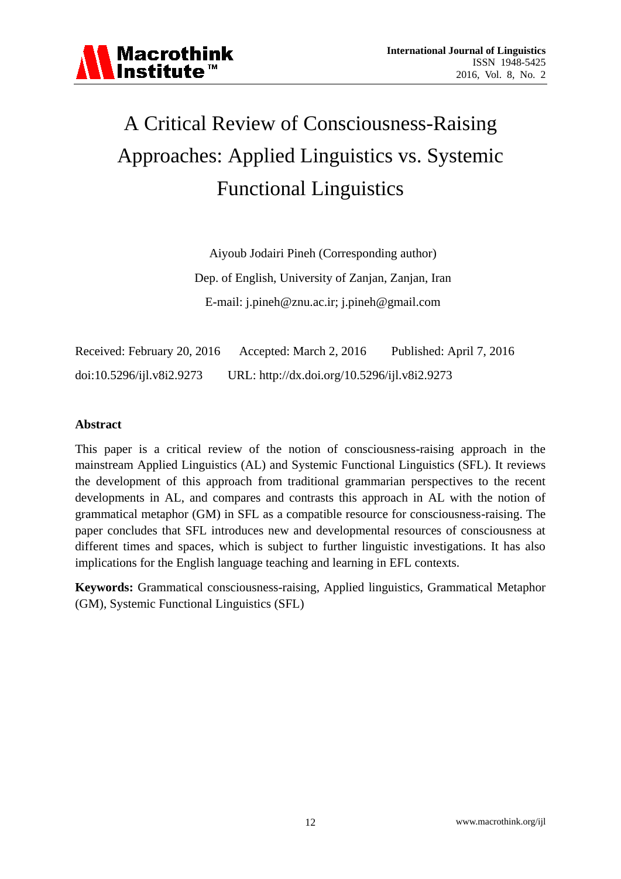# A Critical Review of Consciousness-Raising Approaches: Applied Linguistics vs. Systemic Functional Linguistics

Aiyoub Jodairi Pineh (Corresponding author) Dep. of English, University of Zanjan, Zanjan, Iran E-mail: [j.pineh@znu.ac.ir;](mailto:j.pineh@znu.ac.ir) [j.pineh@gmail.com](mailto:j.pineh@gmail.com)

Received: February 20, 2016 Accepted: March 2, 2016 Published: April 7, 2016 doi:10.5296/ijl.v8i2.9273 URL: http://dx.doi.org/10.5296/ijl.v8i2.9273

# **Abstract**

This paper is a critical review of the notion of consciousness-raising approach in the mainstream Applied Linguistics (AL) and Systemic Functional Linguistics (SFL). It reviews the development of this approach from traditional grammarian perspectives to the recent developments in AL, and compares and contrasts this approach in AL with the notion of grammatical metaphor (GM) in SFL as a compatible resource for consciousness-raising. The paper concludes that SFL introduces new and developmental resources of consciousness at different times and spaces, which is subject to further linguistic investigations. It has also implications for the English language teaching and learning in EFL contexts.

**Keywords:** Grammatical consciousness-raising, Applied linguistics, Grammatical Metaphor (GM), Systemic Functional Linguistics (SFL)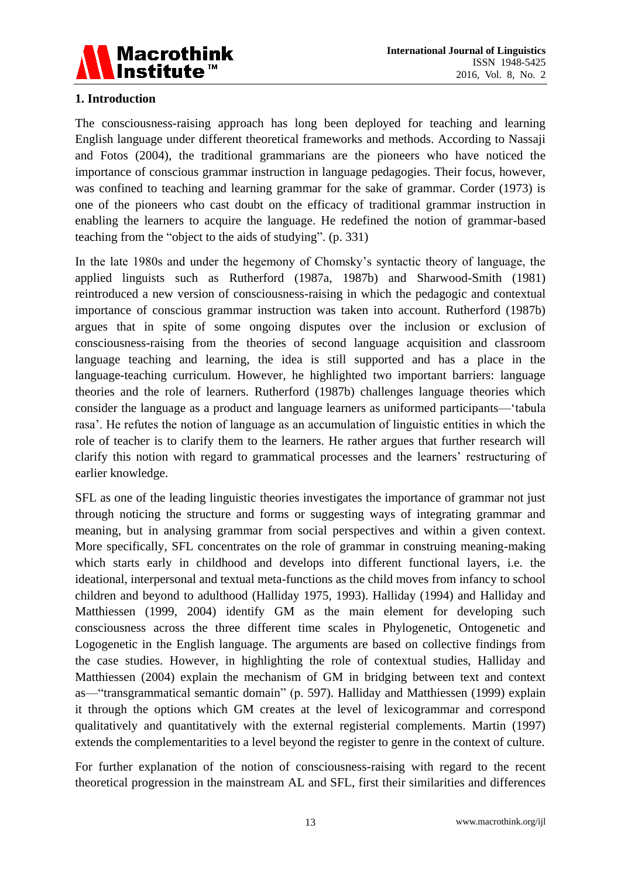

# **1. Introduction**

The consciousness-raising approach has long been deployed for teaching and learning English language under different theoretical frameworks and methods. According to Nassaji and Fotos (2004), the traditional grammarians are the pioneers who have noticed the importance of conscious grammar instruction in language pedagogies. Their focus, however, was confined to teaching and learning grammar for the sake of grammar. Corder (1973) is one of the pioneers who cast doubt on the efficacy of traditional grammar instruction in enabling the learners to acquire the language. He redefined the notion of grammar-based teaching from the "object to the aids of studying". (p. 331)

In the late 1980s and under the hegemony of Chomsky's syntactic theory of language, the applied linguists such as Rutherford (1987a, 1987b) and Sharwood-Smith (1981) reintroduced a new version of consciousness-raising in which the pedagogic and contextual importance of conscious grammar instruction was taken into account. Rutherford (1987b) argues that in spite of some ongoing disputes over the inclusion or exclusion of consciousness-raising from the theories of second language acquisition and classroom language teaching and learning, the idea is still supported and has a place in the language-teaching curriculum. However, he highlighted two important barriers: language theories and the role of learners. Rutherford (1987b) challenges language theories which consider the language as a product and language learners as uniformed participants—'tabula rasa'. He refutes the notion of language as an accumulation of linguistic entities in which the role of teacher is to clarify them to the learners. He rather argues that further research will clarify this notion with regard to grammatical processes and the learners' restructuring of earlier knowledge.

SFL as one of the leading linguistic theories investigates the importance of grammar not just through noticing the structure and forms or suggesting ways of integrating grammar and meaning, but in analysing grammar from social perspectives and within a given context. More specifically, SFL concentrates on the role of grammar in construing meaning-making which starts early in childhood and develops into different functional layers, i.e. the ideational, interpersonal and textual meta-functions as the child moves from infancy to school children and beyond to adulthood (Halliday 1975, 1993). Halliday (1994) and Halliday and Matthiessen (1999, 2004) identify GM as the main element for developing such consciousness across the three different time scales in Phylogenetic, Ontogenetic and Logogenetic in the English language. The arguments are based on collective findings from the case studies. However, in highlighting the role of contextual studies, Halliday and Matthiessen (2004) explain the mechanism of GM in bridging between text and context as—"transgrammatical semantic domain" (p. 597). Halliday and Matthiessen (1999) explain it through the options which GM creates at the level of lexicogrammar and correspond qualitatively and quantitatively with the external registerial complements. Martin (1997) extends the complementarities to a level beyond the register to genre in the context of culture.

For further explanation of the notion of consciousness-raising with regard to the recent theoretical progression in the mainstream AL and SFL, first their similarities and differences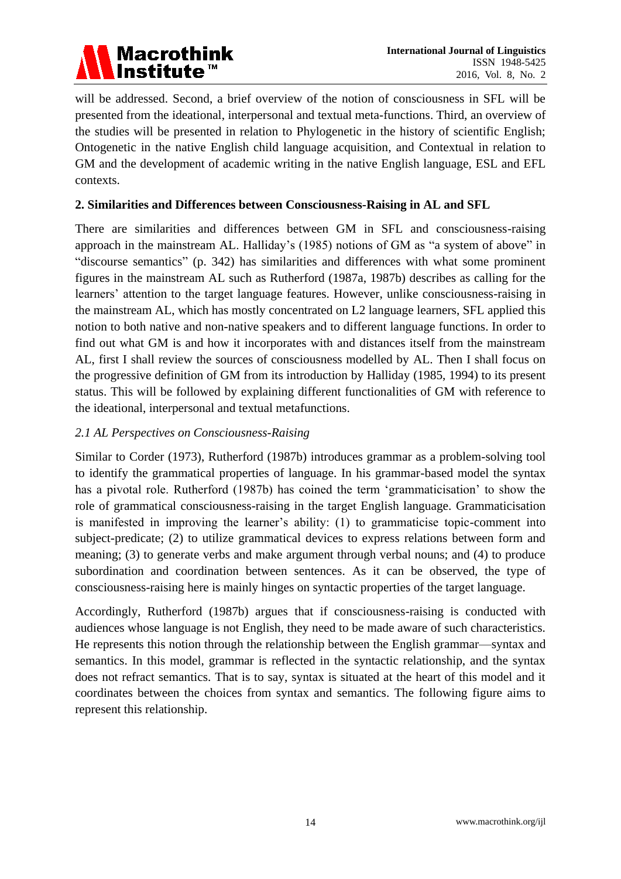

will be addressed. Second, a brief overview of the notion of consciousness in SFL will be presented from the ideational, interpersonal and textual meta-functions. Third, an overview of the studies will be presented in relation to Phylogenetic in the history of scientific English; Ontogenetic in the native English child language acquisition, and Contextual in relation to GM and the development of academic writing in the native English language, ESL and EFL contexts.

# **2. Similarities and Differences between Consciousness-Raising in AL and SFL**

There are similarities and differences between GM in SFL and consciousness-raising approach in the mainstream AL. Halliday's (1985) notions of GM as "a system of above" in "discourse semantics" (p. 342) has similarities and differences with what some prominent figures in the mainstream AL such as Rutherford (1987a, 1987b) describes as calling for the learners' attention to the target language features. However, unlike consciousness-raising in the mainstream AL, which has mostly concentrated on L2 language learners, SFL applied this notion to both native and non-native speakers and to different language functions. In order to find out what GM is and how it incorporates with and distances itself from the mainstream AL, first I shall review the sources of consciousness modelled by AL. Then I shall focus on the progressive definition of GM from its introduction by Halliday (1985, 1994) to its present status. This will be followed by explaining different functionalities of GM with reference to the ideational, interpersonal and textual metafunctions.

## *2.1 AL Perspectives on Consciousness-Raising*

Similar to Corder (1973), Rutherford (1987b) introduces grammar as a problem-solving tool to identify the grammatical properties of language. In his grammar-based model the syntax has a pivotal role. Rutherford (1987b) has coined the term 'grammaticisation' to show the role of grammatical consciousness-raising in the target English language. Grammaticisation is manifested in improving the learner's ability: (1) to grammaticise topic-comment into subject-predicate; (2) to utilize grammatical devices to express relations between form and meaning; (3) to generate verbs and make argument through verbal nouns; and (4) to produce subordination and coordination between sentences. As it can be observed, the type of consciousness-raising here is mainly hinges on syntactic properties of the target language.

Accordingly, Rutherford (1987b) argues that if consciousness-raising is conducted with audiences whose language is not English, they need to be made aware of such characteristics. He represents this notion through the relationship between the English grammar—syntax and semantics. In this model, grammar is reflected in the syntactic relationship, and the syntax does not refract semantics. That is to say, syntax is situated at the heart of this model and it coordinates between the choices from syntax and semantics. The following figure aims to represent this relationship.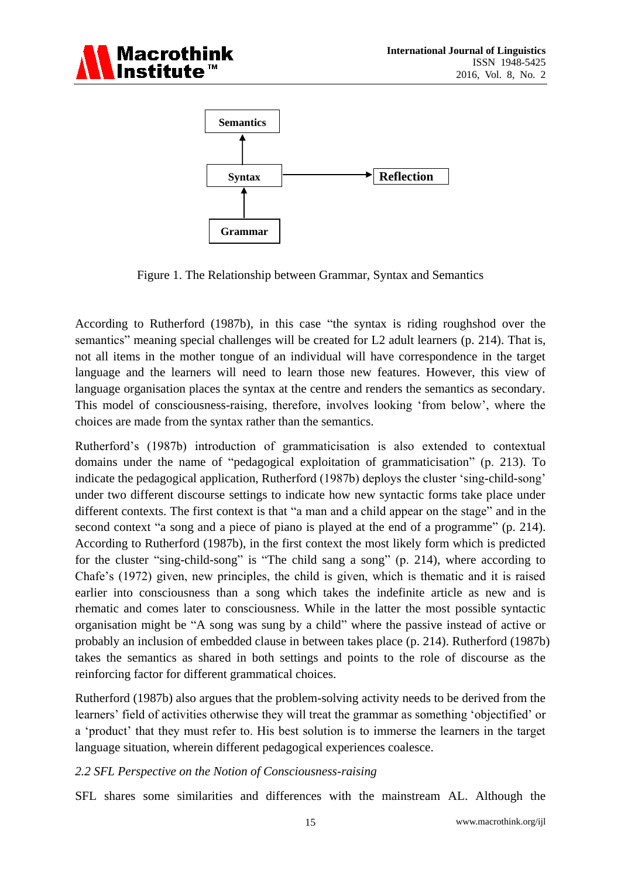



Figure 1. The Relationship between Grammar, Syntax and Semantics

According to Rutherford (1987b), in this case "the syntax is riding roughshod over the semantics" meaning special challenges will be created for L2 adult learners (p. 214). That is, not all items in the mother tongue of an individual will have correspondence in the target language and the learners will need to learn those new features. However, this view of language organisation places the syntax at the centre and renders the semantics as secondary. This model of consciousness-raising, therefore, involves looking 'from below', where the choices are made from the syntax rather than the semantics.

Rutherford's (1987b) introduction of grammaticisation is also extended to contextual domains under the name of "pedagogical exploitation of grammaticisation" (p. 213). To indicate the pedagogical application, Rutherford (1987b) deploys the cluster 'sing-child-song' under two different discourse settings to indicate how new syntactic forms take place under different contexts. The first context is that "a man and a child appear on the stage" and in the second context "a song and a piece of piano is played at the end of a programme" (p. 214). According to Rutherford (1987b), in the first context the most likely form which is predicted for the cluster "sing-child-song" is "The child sang a song" (p. 214), where according to Chafe's (1972) given, new principles, the child is given, which is thematic and it is raised earlier into consciousness than a song which takes the indefinite article as new and is rhematic and comes later to consciousness. While in the latter the most possible syntactic organisation might be "A song was sung by a child" where the passive instead of active or probably an inclusion of embedded clause in between takes place (p. 214). Rutherford (1987b) takes the semantics as shared in both settings and points to the role of discourse as the reinforcing factor for different grammatical choices.

Rutherford (1987b) also argues that the problem-solving activity needs to be derived from the learners' field of activities otherwise they will treat the grammar as something 'objectified' or a 'product' that they must refer to. His best solution is to immerse the learners in the target language situation, wherein different pedagogical experiences coalesce.

# *2.2 SFL Perspective on the Notion of Consciousness-raising*

SFL shares some similarities and differences with the mainstream AL. Although the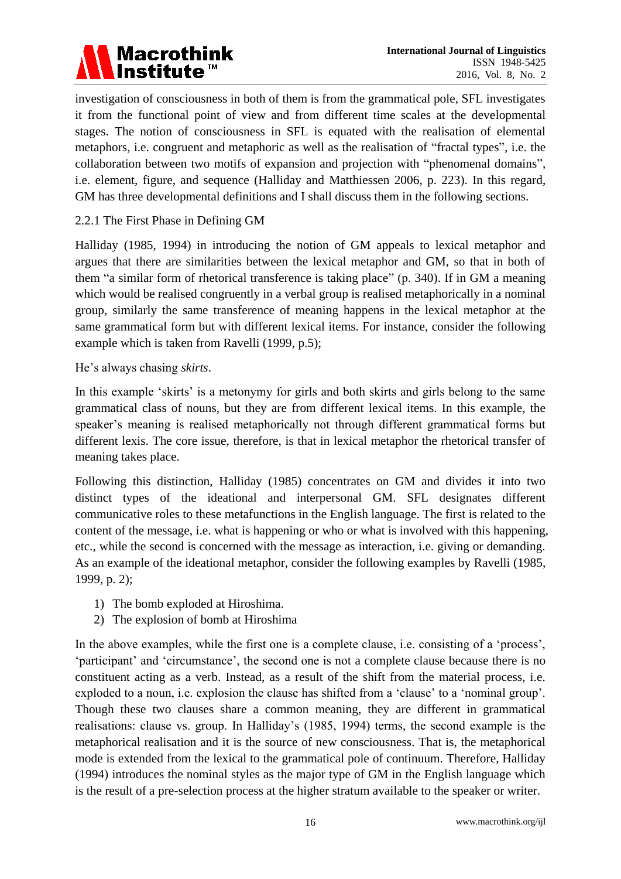

investigation of consciousness in both of them is from the grammatical pole, SFL investigates it from the functional point of view and from different time scales at the developmental stages. The notion of consciousness in SFL is equated with the realisation of elemental metaphors, i.e. congruent and metaphoric as well as the realisation of "fractal types", i.e. the collaboration between two motifs of expansion and projection with "phenomenal domains", i.e. element, figure, and sequence (Halliday and Matthiessen 2006, p. 223). In this regard, GM has three developmental definitions and I shall discuss them in the following sections.

2.2.1 The First Phase in Defining GM

Halliday (1985, 1994) in introducing the notion of GM appeals to lexical metaphor and argues that there are similarities between the lexical metaphor and GM, so that in both of them "a similar form of rhetorical transference is taking place" (p. 340). If in GM a meaning which would be realised congruently in a verbal group is realised metaphorically in a nominal group, similarly the same transference of meaning happens in the lexical metaphor at the same grammatical form but with different lexical items. For instance, consider the following example which is taken from Ravelli (1999, p.5);

He's always chasing *skirts*.

In this example 'skirts' is a metonymy for girls and both skirts and girls belong to the same grammatical class of nouns, but they are from different lexical items. In this example, the speaker's meaning is realised metaphorically not through different grammatical forms but different lexis. The core issue, therefore, is that in lexical metaphor the rhetorical transfer of meaning takes place.

Following this distinction, Halliday (1985) concentrates on GM and divides it into two distinct types of the ideational and interpersonal GM. SFL designates different communicative roles to these metafunctions in the English language. The first is related to the content of the message, i.e. what is happening or who or what is involved with this happening, etc., while the second is concerned with the message as interaction, i.e. giving or demanding. As an example of the ideational metaphor, consider the following examples by Ravelli (1985, 1999, p. 2);

- 1) The bomb exploded at Hiroshima.
- 2) The explosion of bomb at Hiroshima

In the above examples, while the first one is a complete clause, i.e. consisting of a 'process', 'participant' and 'circumstance', the second one is not a complete clause because there is no constituent acting as a verb. Instead, as a result of the shift from the material process, i.e. exploded to a noun, i.e. explosion the clause has shifted from a 'clause' to a 'nominal group'. Though these two clauses share a common meaning, they are different in grammatical realisations: clause vs. group. In Halliday's (1985, 1994) terms, the second example is the metaphorical realisation and it is the source of new consciousness. That is, the metaphorical mode is extended from the lexical to the grammatical pole of continuum. Therefore, Halliday (1994) introduces the nominal styles as the major type of GM in the English language which is the result of a pre-selection process at the higher stratum available to the speaker or writer.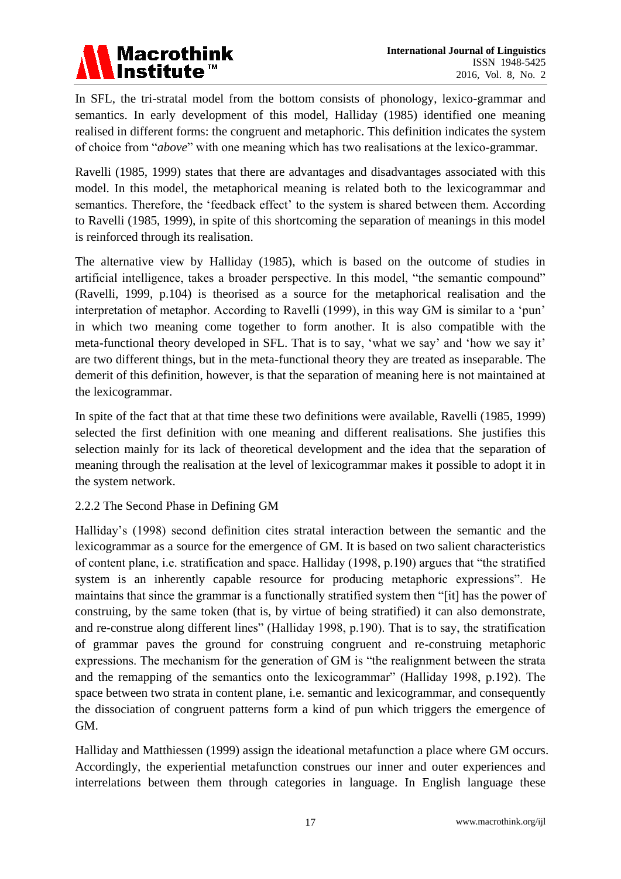

In SFL, the tri-stratal model from the bottom consists of phonology, lexico-grammar and semantics. In early development of this model, Halliday (1985) identified one meaning realised in different forms: the congruent and metaphoric. This definition indicates the system of choice from "*above*" with one meaning which has two realisations at the lexico-grammar.

Ravelli (1985, 1999) states that there are advantages and disadvantages associated with this model. In this model, the metaphorical meaning is related both to the lexicogrammar and semantics. Therefore, the 'feedback effect' to the system is shared between them. According to Ravelli (1985, 1999), in spite of this shortcoming the separation of meanings in this model is reinforced through its realisation.

The alternative view by Halliday (1985), which is based on the outcome of studies in artificial intelligence, takes a broader perspective. In this model, "the semantic compound" (Ravelli, 1999, p.104) is theorised as a source for the metaphorical realisation and the interpretation of metaphor. According to Ravelli (1999), in this way GM is similar to a 'pun' in which two meaning come together to form another. It is also compatible with the meta-functional theory developed in SFL. That is to say, 'what we say' and 'how we say it' are two different things, but in the meta-functional theory they are treated as inseparable. The demerit of this definition, however, is that the separation of meaning here is not maintained at the lexicogrammar.

In spite of the fact that at that time these two definitions were available, Ravelli (1985, 1999) selected the first definition with one meaning and different realisations. She justifies this selection mainly for its lack of theoretical development and the idea that the separation of meaning through the realisation at the level of lexicogrammar makes it possible to adopt it in the system network.

# 2.2.2 The Second Phase in Defining GM

Halliday's (1998) second definition cites stratal interaction between the semantic and the lexicogrammar as a source for the emergence of GM. It is based on two salient characteristics of content plane, i.e. stratification and space. Halliday (1998, p.190) argues that "the stratified system is an inherently capable resource for producing metaphoric expressions". He maintains that since the grammar is a functionally stratified system then "[it] has the power of construing, by the same token (that is, by virtue of being stratified) it can also demonstrate, and re-construe along different lines" (Halliday 1998, p.190). That is to say, the stratification of grammar paves the ground for construing congruent and re-construing metaphoric expressions. The mechanism for the generation of GM is "the realignment between the strata and the remapping of the semantics onto the lexicogrammar" (Halliday 1998, p.192). The space between two strata in content plane, i.e. semantic and lexicogrammar, and consequently the dissociation of congruent patterns form a kind of pun which triggers the emergence of GM.

Halliday and Matthiessen (1999) assign the ideational metafunction a place where GM occurs. Accordingly, the experiential metafunction construes our inner and outer experiences and interrelations between them through categories in language. In English language these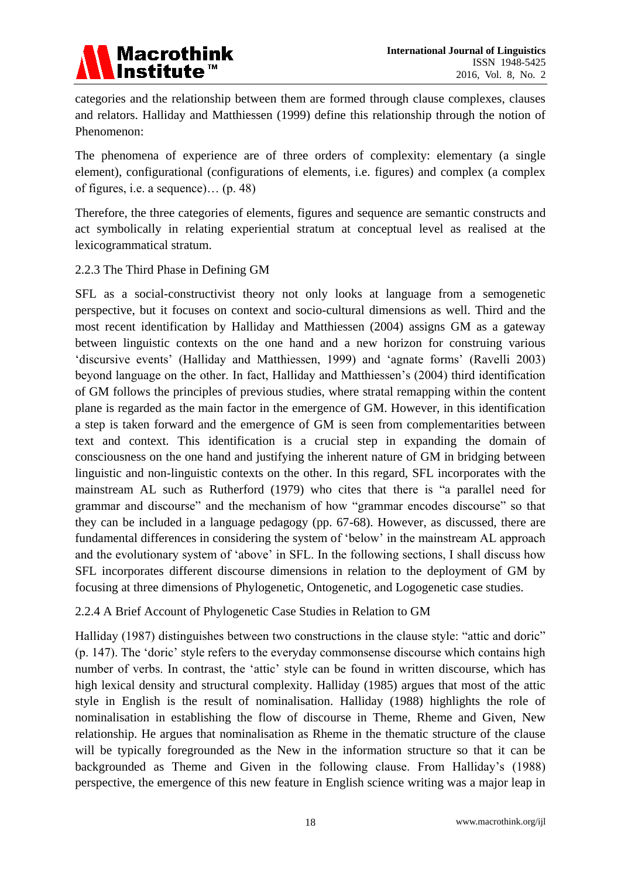

categories and the relationship between them are formed through clause complexes, clauses and relators. Halliday and Matthiessen (1999) define this relationship through the notion of Phenomenon:

The phenomena of experience are of three orders of complexity: elementary (a single element), configurational (configurations of elements, i.e. figures) and complex (a complex of figures, i.e. a sequence)… (p. 48)

Therefore, the three categories of elements, figures and sequence are semantic constructs and act symbolically in relating experiential stratum at conceptual level as realised at the lexicogrammatical stratum.

## 2.2.3 The Third Phase in Defining GM

SFL as a social-constructivist theory not only looks at language from a semogenetic perspective, but it focuses on context and socio-cultural dimensions as well. Third and the most recent identification by Halliday and Matthiessen (2004) assigns GM as a gateway between linguistic contexts on the one hand and a new horizon for construing various 'discursive events' (Halliday and Matthiessen, 1999) and 'agnate forms' (Ravelli 2003) beyond language on the other. In fact, Halliday and Matthiessen's (2004) third identification of GM follows the principles of previous studies, where stratal remapping within the content plane is regarded as the main factor in the emergence of GM. However, in this identification a step is taken forward and the emergence of GM is seen from complementarities between text and context. This identification is a crucial step in expanding the domain of consciousness on the one hand and justifying the inherent nature of GM in bridging between linguistic and non-linguistic contexts on the other. In this regard, SFL incorporates with the mainstream AL such as Rutherford (1979) who cites that there is "a parallel need for grammar and discourse" and the mechanism of how "grammar encodes discourse" so that they can be included in a language pedagogy (pp. 67-68). However, as discussed, there are fundamental differences in considering the system of 'below' in the mainstream AL approach and the evolutionary system of 'above' in SFL. In the following sections, I shall discuss how SFL incorporates different discourse dimensions in relation to the deployment of GM by focusing at three dimensions of Phylogenetic, Ontogenetic, and Logogenetic case studies.

## 2.2.4 A Brief Account of Phylogenetic Case Studies in Relation to GM

Halliday (1987) distinguishes between two constructions in the clause style: "attic and doric" (p. 147). The 'doric' style refers to the everyday commonsense discourse which contains high number of verbs. In contrast, the 'attic' style can be found in written discourse, which has high lexical density and structural complexity. Halliday (1985) argues that most of the attic style in English is the result of nominalisation. Halliday (1988) highlights the role of nominalisation in establishing the flow of discourse in Theme, Rheme and Given, New relationship. He argues that nominalisation as Rheme in the thematic structure of the clause will be typically foregrounded as the New in the information structure so that it can be backgrounded as Theme and Given in the following clause. From Halliday's (1988) perspective, the emergence of this new feature in English science writing was a major leap in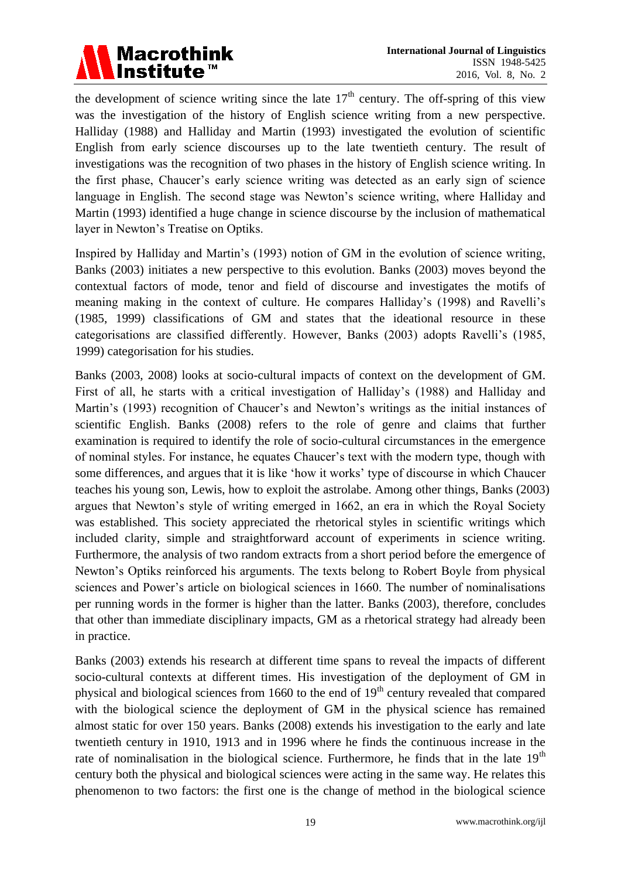

the development of science writing since the late  $17<sup>th</sup>$  century. The off-spring of this view was the investigation of the history of English science writing from a new perspective. Halliday (1988) and Halliday and Martin (1993) investigated the evolution of scientific English from early science discourses up to the late twentieth century. The result of investigations was the recognition of two phases in the history of English science writing. In the first phase, Chaucer's early science writing was detected as an early sign of science language in English. The second stage was Newton's science writing, where Halliday and Martin (1993) identified a huge change in science discourse by the inclusion of mathematical layer in Newton's Treatise on Optiks.

Inspired by Halliday and Martin's (1993) notion of GM in the evolution of science writing, Banks (2003) initiates a new perspective to this evolution. Banks (2003) moves beyond the contextual factors of mode, tenor and field of discourse and investigates the motifs of meaning making in the context of culture. He compares Halliday's (1998) and Ravelli's (1985, 1999) classifications of GM and states that the ideational resource in these categorisations are classified differently. However, Banks (2003) adopts Ravelli's (1985, 1999) categorisation for his studies.

Banks (2003, 2008) looks at socio-cultural impacts of context on the development of GM. First of all, he starts with a critical investigation of Halliday's (1988) and Halliday and Martin's (1993) recognition of Chaucer's and Newton's writings as the initial instances of scientific English. Banks (2008) refers to the role of genre and claims that further examination is required to identify the role of socio-cultural circumstances in the emergence of nominal styles. For instance, he equates Chaucer's text with the modern type, though with some differences, and argues that it is like 'how it works' type of discourse in which Chaucer teaches his young son, Lewis, how to exploit the astrolabe. Among other things, Banks (2003) argues that Newton's style of writing emerged in 1662, an era in which the Royal Society was established. This society appreciated the rhetorical styles in scientific writings which included clarity, simple and straightforward account of experiments in science writing. Furthermore, the analysis of two random extracts from a short period before the emergence of Newton's Optiks reinforced his arguments. The texts belong to Robert Boyle from physical sciences and Power's article on biological sciences in 1660. The number of nominalisations per running words in the former is higher than the latter. Banks (2003), therefore, concludes that other than immediate disciplinary impacts, GM as a rhetorical strategy had already been in practice.

Banks (2003) extends his research at different time spans to reveal the impacts of different socio-cultural contexts at different times. His investigation of the deployment of GM in physical and biological sciences from 1660 to the end of  $19<sup>th</sup>$  century revealed that compared with the biological science the deployment of GM in the physical science has remained almost static for over 150 years. Banks (2008) extends his investigation to the early and late twentieth century in 1910, 1913 and in 1996 where he finds the continuous increase in the rate of nominalisation in the biological science. Furthermore, he finds that in the late  $19<sup>th</sup>$ century both the physical and biological sciences were acting in the same way. He relates this phenomenon to two factors: the first one is the change of method in the biological science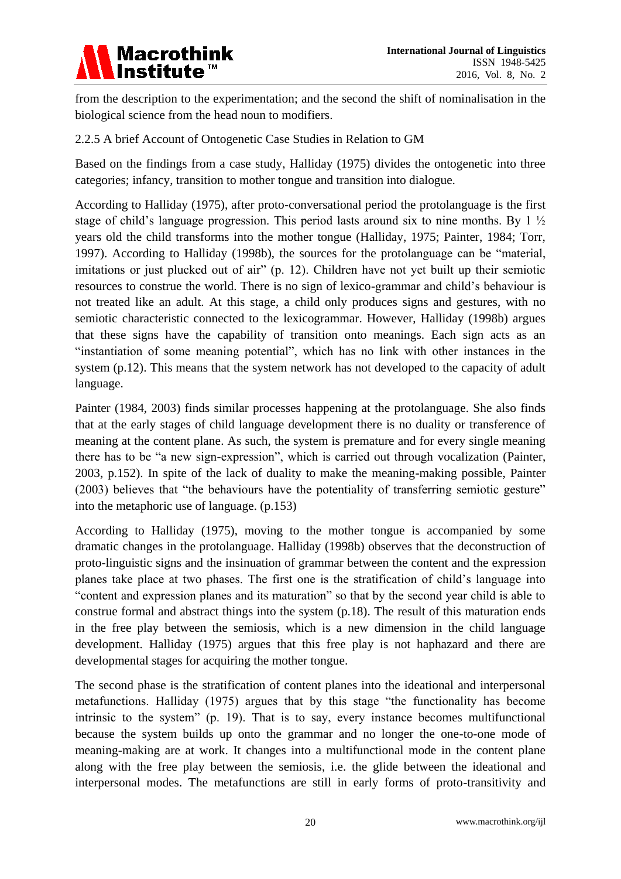

from the description to the experimentation; and the second the shift of nominalisation in the biological science from the head noun to modifiers.

## 2.2.5 A brief Account of Ontogenetic Case Studies in Relation to GM

Based on the findings from a case study, Halliday (1975) divides the ontogenetic into three categories; infancy, transition to mother tongue and transition into dialogue.

According to Halliday (1975), after proto-conversational period the protolanguage is the first stage of child's language progression. This period lasts around six to nine months. By 1 ½ years old the child transforms into the mother tongue (Halliday, 1975; Painter, 1984; Torr, 1997). According to Halliday (1998b), the sources for the protolanguage can be "material, imitations or just plucked out of air" (p. 12). Children have not yet built up their semiotic resources to construe the world. There is no sign of lexico-grammar and child's behaviour is not treated like an adult. At this stage, a child only produces signs and gestures, with no semiotic characteristic connected to the lexicogrammar. However, Halliday (1998b) argues that these signs have the capability of transition onto meanings. Each sign acts as an "instantiation of some meaning potential", which has no link with other instances in the system (p.12). This means that the system network has not developed to the capacity of adult language.

Painter (1984, 2003) finds similar processes happening at the protolanguage. She also finds that at the early stages of child language development there is no duality or transference of meaning at the content plane. As such, the system is premature and for every single meaning there has to be "a new sign-expression", which is carried out through vocalization (Painter, 2003, p.152). In spite of the lack of duality to make the meaning-making possible, Painter (2003) believes that "the behaviours have the potentiality of transferring semiotic gesture" into the metaphoric use of language. (p.153)

According to Halliday (1975), moving to the mother tongue is accompanied by some dramatic changes in the protolanguage. Halliday (1998b) observes that the deconstruction of proto-linguistic signs and the insinuation of grammar between the content and the expression planes take place at two phases. The first one is the stratification of child's language into "content and expression planes and its maturation" so that by the second year child is able to construe formal and abstract things into the system (p.18). The result of this maturation ends in the free play between the semiosis, which is a new dimension in the child language development. Halliday (1975) argues that this free play is not haphazard and there are developmental stages for acquiring the mother tongue.

The second phase is the stratification of content planes into the ideational and interpersonal metafunctions. Halliday (1975) argues that by this stage "the functionality has become intrinsic to the system" (p. 19). That is to say, every instance becomes multifunctional because the system builds up onto the grammar and no longer the one-to-one mode of meaning-making are at work. It changes into a multifunctional mode in the content plane along with the free play between the semiosis, i.e. the glide between the ideational and interpersonal modes. The metafunctions are still in early forms of proto-transitivity and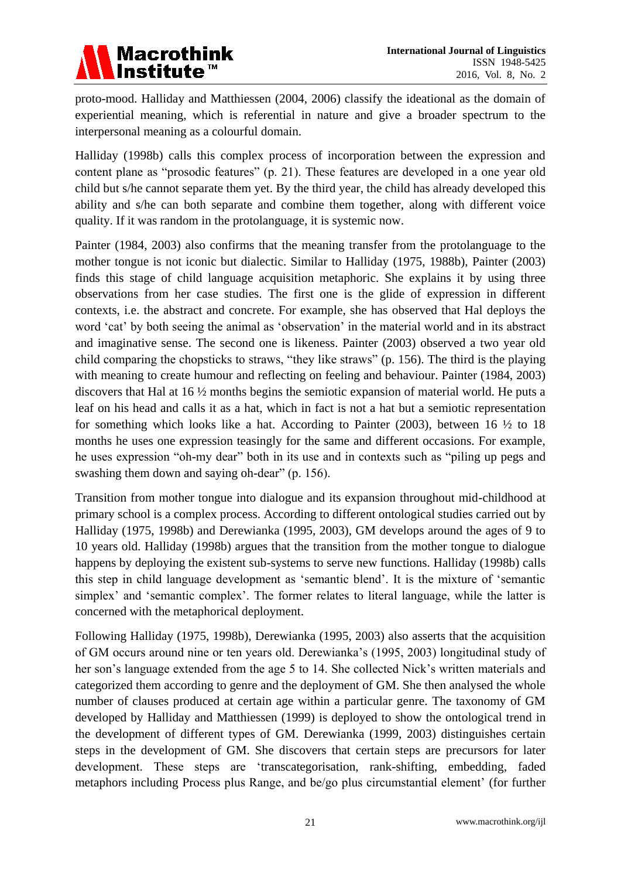

proto-mood. Halliday and Matthiessen (2004, 2006) classify the ideational as the domain of experiential meaning, which is referential in nature and give a broader spectrum to the interpersonal meaning as a colourful domain.

Halliday (1998b) calls this complex process of incorporation between the expression and content plane as "prosodic features" (p. 21). These features are developed in a one year old child but s/he cannot separate them yet. By the third year, the child has already developed this ability and s/he can both separate and combine them together, along with different voice quality. If it was random in the protolanguage, it is systemic now.

Painter (1984, 2003) also confirms that the meaning transfer from the protolanguage to the mother tongue is not iconic but dialectic. Similar to Halliday (1975, 1988b), Painter (2003) finds this stage of child language acquisition metaphoric. She explains it by using three observations from her case studies. The first one is the glide of expression in different contexts, i.e. the abstract and concrete. For example, she has observed that Hal deploys the word 'cat' by both seeing the animal as 'observation' in the material world and in its abstract and imaginative sense. The second one is likeness. Painter (2003) observed a two year old child comparing the chopsticks to straws, "they like straws" (p. 156). The third is the playing with meaning to create humour and reflecting on feeling and behaviour. Painter (1984, 2003) discovers that Hal at 16 ½ months begins the semiotic expansion of material world. He puts a leaf on his head and calls it as a hat, which in fact is not a hat but a semiotic representation for something which looks like a hat. According to Painter  $(2003)$ , between 16  $\frac{1}{2}$  to 18 months he uses one expression teasingly for the same and different occasions. For example, he uses expression "oh-my dear" both in its use and in contexts such as "piling up pegs and swashing them down and saying oh-dear" (p. 156).

Transition from mother tongue into dialogue and its expansion throughout mid-childhood at primary school is a complex process. According to different ontological studies carried out by Halliday (1975, 1998b) and Derewianka (1995, 2003), GM develops around the ages of 9 to 10 years old. Halliday (1998b) argues that the transition from the mother tongue to dialogue happens by deploying the existent sub-systems to serve new functions. Halliday (1998b) calls this step in child language development as 'semantic blend'. It is the mixture of 'semantic simplex' and 'semantic complex'. The former relates to literal language, while the latter is concerned with the metaphorical deployment.

Following Halliday (1975, 1998b), Derewianka (1995, 2003) also asserts that the acquisition of GM occurs around nine or ten years old. Derewianka's (1995, 2003) longitudinal study of her son's language extended from the age 5 to 14. She collected Nick's written materials and categorized them according to genre and the deployment of GM. She then analysed the whole number of clauses produced at certain age within a particular genre. The taxonomy of GM developed by Halliday and Matthiessen (1999) is deployed to show the ontological trend in the development of different types of GM. Derewianka (1999, 2003) distinguishes certain steps in the development of GM. She discovers that certain steps are precursors for later development. These steps are 'transcategorisation, rank-shifting, embedding, faded metaphors including Process plus Range, and be/go plus circumstantial element' (for further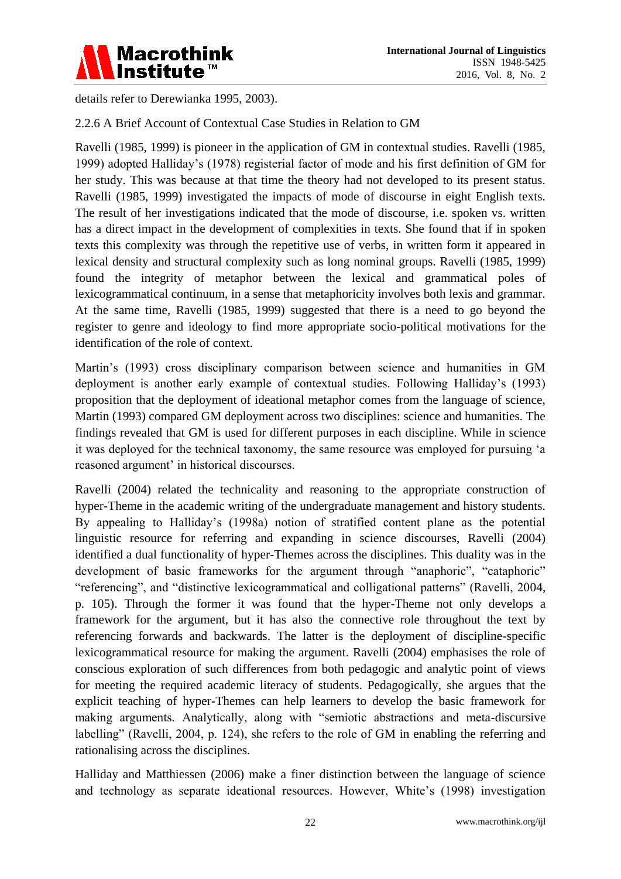

details refer to Derewianka 1995, 2003).

# 2.2.6 A Brief Account of Contextual Case Studies in Relation to GM

Ravelli (1985, 1999) is pioneer in the application of GM in contextual studies. Ravelli (1985, 1999) adopted Halliday's (1978) registerial factor of mode and his first definition of GM for her study. This was because at that time the theory had not developed to its present status. Ravelli (1985, 1999) investigated the impacts of mode of discourse in eight English texts. The result of her investigations indicated that the mode of discourse, i.e. spoken vs. written has a direct impact in the development of complexities in texts. She found that if in spoken texts this complexity was through the repetitive use of verbs, in written form it appeared in lexical density and structural complexity such as long nominal groups. Ravelli (1985, 1999) found the integrity of metaphor between the lexical and grammatical poles of lexicogrammatical continuum, in a sense that metaphoricity involves both lexis and grammar. At the same time, Ravelli (1985, 1999) suggested that there is a need to go beyond the register to genre and ideology to find more appropriate socio-political motivations for the identification of the role of context.

Martin's (1993) cross disciplinary comparison between science and humanities in GM deployment is another early example of contextual studies. Following Halliday's (1993) proposition that the deployment of ideational metaphor comes from the language of science, Martin (1993) compared GM deployment across two disciplines: science and humanities. The findings revealed that GM is used for different purposes in each discipline. While in science it was deployed for the technical taxonomy, the same resource was employed for pursuing 'a reasoned argument' in historical discourses.

Ravelli (2004) related the technicality and reasoning to the appropriate construction of hyper-Theme in the academic writing of the undergraduate management and history students. By appealing to Halliday's (1998a) notion of stratified content plane as the potential linguistic resource for referring and expanding in science discourses, Ravelli (2004) identified a dual functionality of hyper-Themes across the disciplines. This duality was in the development of basic frameworks for the argument through "anaphoric", "cataphoric" "referencing", and "distinctive lexicogrammatical and colligational patterns" (Ravelli, 2004, p. 105). Through the former it was found that the hyper-Theme not only develops a framework for the argument, but it has also the connective role throughout the text by referencing forwards and backwards. The latter is the deployment of discipline-specific lexicogrammatical resource for making the argument. Ravelli (2004) emphasises the role of conscious exploration of such differences from both pedagogic and analytic point of views for meeting the required academic literacy of students. Pedagogically, she argues that the explicit teaching of hyper-Themes can help learners to develop the basic framework for making arguments. Analytically, along with "semiotic abstractions and meta-discursive labelling" (Ravelli, 2004, p. 124), she refers to the role of GM in enabling the referring and rationalising across the disciplines.

Halliday and Matthiessen (2006) make a finer distinction between the language of science and technology as separate ideational resources. However, White's (1998) investigation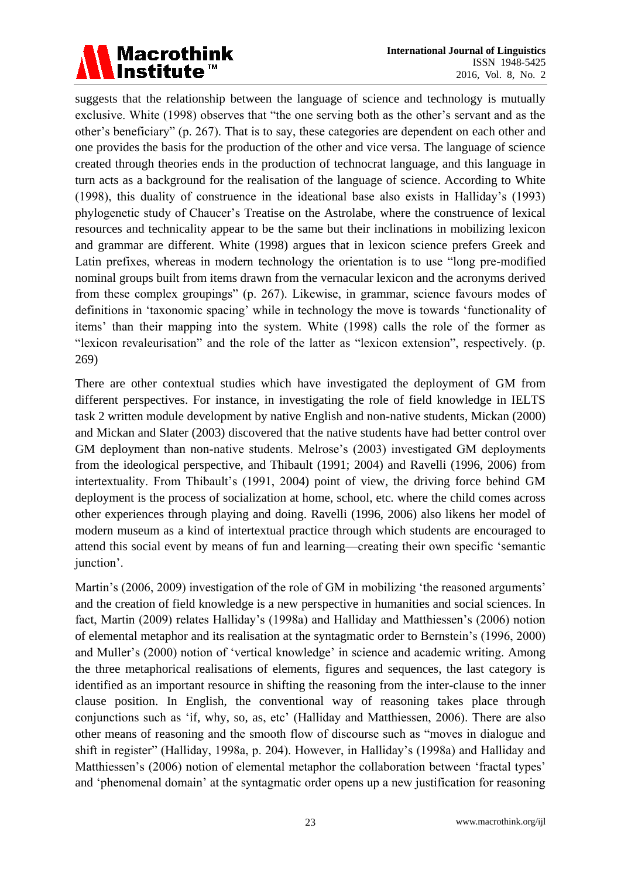

suggests that the relationship between the language of science and technology is mutually exclusive. White (1998) observes that "the one serving both as the other's servant and as the other's beneficiary" (p. 267). That is to say, these categories are dependent on each other and one provides the basis for the production of the other and vice versa. The language of science created through theories ends in the production of technocrat language, and this language in turn acts as a background for the realisation of the language of science. According to White (1998), this duality of construence in the ideational base also exists in Halliday's (1993) phylogenetic study of Chaucer's Treatise on the Astrolabe, where the construence of lexical resources and technicality appear to be the same but their inclinations in mobilizing lexicon and grammar are different. White (1998) argues that in lexicon science prefers Greek and Latin prefixes, whereas in modern technology the orientation is to use "long pre-modified nominal groups built from items drawn from the vernacular lexicon and the acronyms derived from these complex groupings" (p. 267). Likewise, in grammar, science favours modes of definitions in 'taxonomic spacing' while in technology the move is towards 'functionality of items' than their mapping into the system. White (1998) calls the role of the former as "lexicon revaleurisation" and the role of the latter as "lexicon extension", respectively. (p. 269)

There are other contextual studies which have investigated the deployment of GM from different perspectives. For instance, in investigating the role of field knowledge in IELTS task 2 written module development by native English and non-native students, Mickan (2000) and Mickan and Slater (2003) discovered that the native students have had better control over GM deployment than non-native students. Melrose's (2003) investigated GM deployments from the ideological perspective, and Thibault (1991; 2004) and Ravelli (1996, 2006) from intertextuality. From Thibault's (1991, 2004) point of view, the driving force behind GM deployment is the process of socialization at home, school, etc. where the child comes across other experiences through playing and doing. Ravelli (1996, 2006) also likens her model of modern museum as a kind of intertextual practice through which students are encouraged to attend this social event by means of fun and learning—creating their own specific 'semantic junction'.

Martin's (2006, 2009) investigation of the role of GM in mobilizing 'the reasoned arguments' and the creation of field knowledge is a new perspective in humanities and social sciences. In fact, Martin (2009) relates Halliday's (1998a) and Halliday and Matthiessen's (2006) notion of elemental metaphor and its realisation at the syntagmatic order to Bernstein's (1996, 2000) and Muller's (2000) notion of 'vertical knowledge' in science and academic writing. Among the three metaphorical realisations of elements, figures and sequences, the last category is identified as an important resource in shifting the reasoning from the inter-clause to the inner clause position. In English, the conventional way of reasoning takes place through conjunctions such as 'if, why, so, as, etc' (Halliday and Matthiessen, 2006). There are also other means of reasoning and the smooth flow of discourse such as "moves in dialogue and shift in register" (Halliday, 1998a, p. 204). However, in Halliday's (1998a) and Halliday and Matthiessen's (2006) notion of elemental metaphor the collaboration between 'fractal types' and 'phenomenal domain' at the syntagmatic order opens up a new justification for reasoning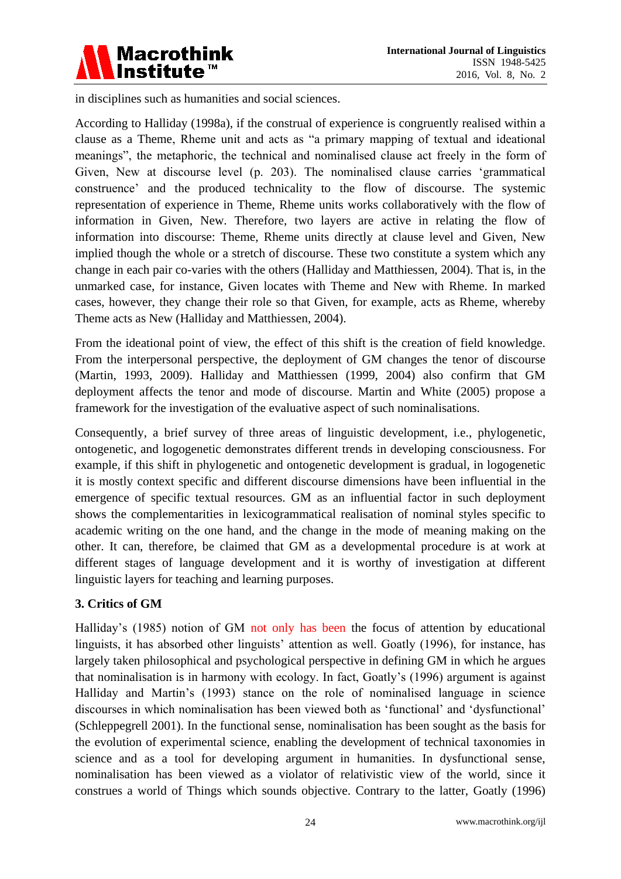

in disciplines such as humanities and social sciences.

According to Halliday (1998a), if the construal of experience is congruently realised within a clause as a Theme, Rheme unit and acts as "a primary mapping of textual and ideational meanings", the metaphoric, the technical and nominalised clause act freely in the form of Given, New at discourse level (p. 203). The nominalised clause carries 'grammatical construence' and the produced technicality to the flow of discourse. The systemic representation of experience in Theme, Rheme units works collaboratively with the flow of information in Given, New. Therefore, two layers are active in relating the flow of information into discourse: Theme, Rheme units directly at clause level and Given, New implied though the whole or a stretch of discourse. These two constitute a system which any change in each pair co-varies with the others (Halliday and Matthiessen, 2004). That is, in the unmarked case, for instance, Given locates with Theme and New with Rheme. In marked cases, however, they change their role so that Given, for example, acts as Rheme, whereby Theme acts as New (Halliday and Matthiessen, 2004).

From the ideational point of view, the effect of this shift is the creation of field knowledge. From the interpersonal perspective, the deployment of GM changes the tenor of discourse (Martin, 1993, 2009). Halliday and Matthiessen (1999, 2004) also confirm that GM deployment affects the tenor and mode of discourse. Martin and White (2005) propose a framework for the investigation of the evaluative aspect of such nominalisations.

Consequently, a brief survey of three areas of linguistic development, i.e., phylogenetic, ontogenetic, and logogenetic demonstrates different trends in developing consciousness. For example, if this shift in phylogenetic and ontogenetic development is gradual, in logogenetic it is mostly context specific and different discourse dimensions have been influential in the emergence of specific textual resources. GM as an influential factor in such deployment shows the complementarities in lexicogrammatical realisation of nominal styles specific to academic writing on the one hand, and the change in the mode of meaning making on the other. It can, therefore, be claimed that GM as a developmental procedure is at work at different stages of language development and it is worthy of investigation at different linguistic layers for teaching and learning purposes.

# **3. Critics of GM**

Halliday's (1985) notion of GM not only has been the focus of attention by educational linguists, it has absorbed other linguists' attention as well. Goatly (1996), for instance, has largely taken philosophical and psychological perspective in defining GM in which he argues that nominalisation is in harmony with ecology. In fact, Goatly's (1996) argument is against Halliday and Martin's (1993) stance on the role of nominalised language in science discourses in which nominalisation has been viewed both as 'functional' and 'dysfunctional' (Schleppegrell 2001). In the functional sense, nominalisation has been sought as the basis for the evolution of experimental science, enabling the development of technical taxonomies in science and as a tool for developing argument in humanities. In dysfunctional sense, nominalisation has been viewed as a violator of relativistic view of the world, since it construes a world of Things which sounds objective. Contrary to the latter, Goatly (1996)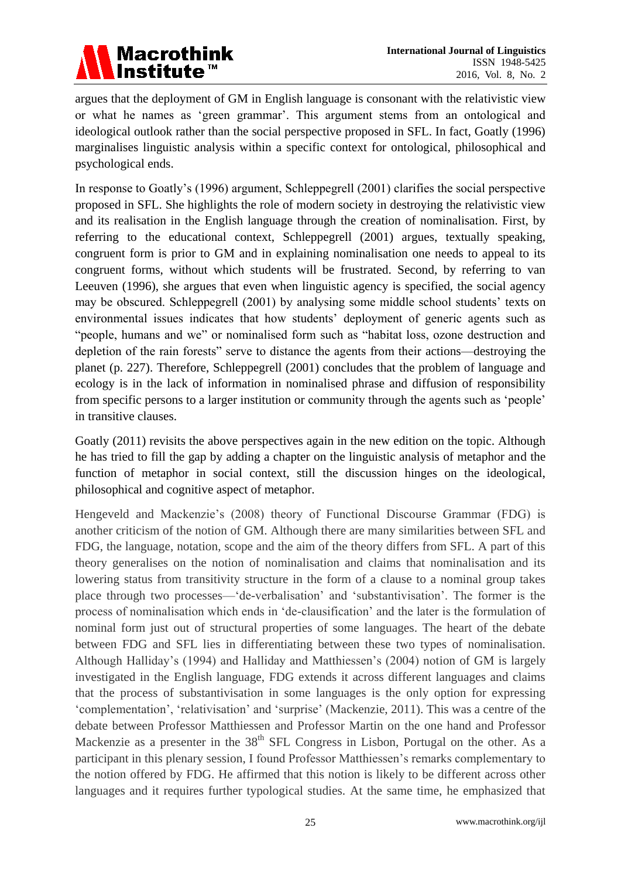

argues that the deployment of GM in English language is consonant with the relativistic view or what he names as 'green grammar'. This argument stems from an ontological and ideological outlook rather than the social perspective proposed in SFL. In fact, Goatly (1996) marginalises linguistic analysis within a specific context for ontological, philosophical and psychological ends.

In response to Goatly's (1996) argument, Schleppegrell (2001) clarifies the social perspective proposed in SFL. She highlights the role of modern society in destroying the relativistic view and its realisation in the English language through the creation of nominalisation. First, by referring to the educational context, Schleppegrell (2001) argues, textually speaking, congruent form is prior to GM and in explaining nominalisation one needs to appeal to its congruent forms, without which students will be frustrated. Second, by referring to van Leeuven (1996), she argues that even when linguistic agency is specified, the social agency may be obscured. Schleppegrell (2001) by analysing some middle school students' texts on environmental issues indicates that how students' deployment of generic agents such as "people, humans and we" or nominalised form such as "habitat loss, ozone destruction and depletion of the rain forests" serve to distance the agents from their actions—destroying the planet (p. 227). Therefore, Schleppegrell (2001) concludes that the problem of language and ecology is in the lack of information in nominalised phrase and diffusion of responsibility from specific persons to a larger institution or community through the agents such as 'people' in transitive clauses.

Goatly (2011) revisits the above perspectives again in the new edition on the topic. Although he has tried to fill the gap by adding a chapter on the linguistic analysis of metaphor and the function of metaphor in social context, still the discussion hinges on the ideological, philosophical and cognitive aspect of metaphor.

Hengeveld and Mackenzie's (2008) theory of Functional Discourse Grammar (FDG) is another criticism of the notion of GM. Although there are many similarities between SFL and FDG, the language, notation, scope and the aim of the theory differs from SFL. A part of this theory generalises on the notion of nominalisation and claims that nominalisation and its lowering status from transitivity structure in the form of a clause to a nominal group takes place through two processes—'de-verbalisation' and 'substantivisation'. The former is the process of nominalisation which ends in 'de-clausification' and the later is the formulation of nominal form just out of structural properties of some languages. The heart of the debate between FDG and SFL lies in differentiating between these two types of nominalisation. Although Halliday's (1994) and Halliday and Matthiessen's (2004) notion of GM is largely investigated in the English language, FDG extends it across different languages and claims that the process of substantivisation in some languages is the only option for expressing 'complementation', 'relativisation' and 'surprise' (Mackenzie, 2011). This was a centre of the debate between Professor Matthiessen and Professor Martin on the one hand and Professor Mackenzie as a presenter in the  $38<sup>th</sup>$  SFL Congress in Lisbon, Portugal on the other. As a participant in this plenary session, I found Professor Matthiessen's remarks complementary to the notion offered by FDG. He affirmed that this notion is likely to be different across other languages and it requires further typological studies. At the same time, he emphasized that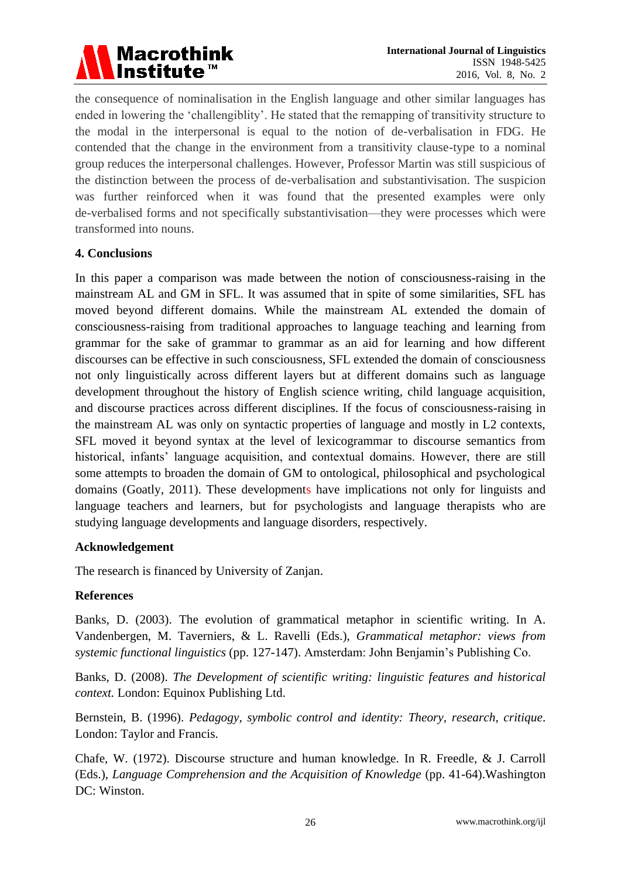

the consequence of nominalisation in the English language and other similar languages has ended in lowering the 'challengiblity'. He stated that the remapping of transitivity structure to the modal in the interpersonal is equal to the notion of de-verbalisation in FDG. He contended that the change in the environment from a transitivity clause-type to a nominal group reduces the interpersonal challenges. However, Professor Martin was still suspicious of the distinction between the process of de-verbalisation and substantivisation. The suspicion was further reinforced when it was found that the presented examples were only de-verbalised forms and not specifically substantivisation—they were processes which were transformed into nouns.

# **4. Conclusions**

In this paper a comparison was made between the notion of consciousness-raising in the mainstream AL and GM in SFL. It was assumed that in spite of some similarities, SFL has moved beyond different domains. While the mainstream AL extended the domain of consciousness-raising from traditional approaches to language teaching and learning from grammar for the sake of grammar to grammar as an aid for learning and how different discourses can be effective in such consciousness, SFL extended the domain of consciousness not only linguistically across different layers but at different domains such as language development throughout the history of English science writing, child language acquisition, and discourse practices across different disciplines. If the focus of consciousness-raising in the mainstream AL was only on syntactic properties of language and mostly in L2 contexts, SFL moved it beyond syntax at the level of lexicogrammar to discourse semantics from historical, infants' language acquisition, and contextual domains. However, there are still some attempts to broaden the domain of GM to ontological, philosophical and psychological domains (Goatly, 2011). These developments have implications not only for linguists and language teachers and learners, but for psychologists and language therapists who are studying language developments and language disorders, respectively.

## **Acknowledgement**

The research is financed by University of Zanjan.

## **References**

Banks, D. (2003). The evolution of grammatical metaphor in scientific writing. In A. Vandenbergen, M. Taverniers, & L. Ravelli (Eds.), *Grammatical metaphor: views from systemic functional linguistics* (pp. 127-147). Amsterdam: John Benjamin's Publishing Co.

Banks, D. (2008). *The Development of scientific writing: linguistic features and historical context.* London: Equinox Publishing Ltd.

Bernstein, B. (1996). *Pedagogy, symbolic control and identity: Theory, research, critique*. London: Taylor and Francis.

Chafe, W. (1972). Discourse structure and human knowledge. In R. Freedle, & J. Carroll (Eds.), *Language Comprehension and the Acquisition of Knowledge* (pp. 41-64).Washington DC: Winston.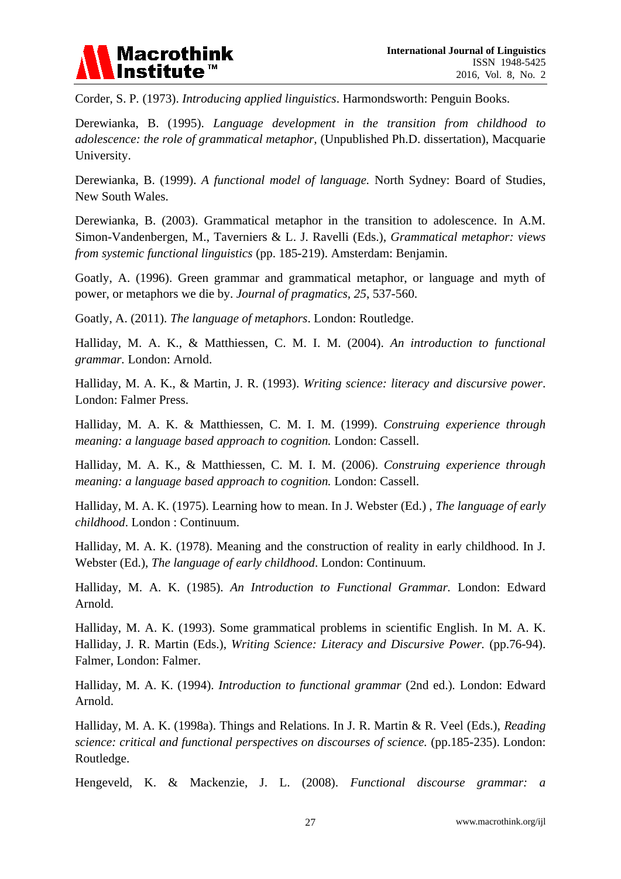

Corder, S. P*.* (1973). *Introducing applied linguistics*. Harmondsworth: Penguin Books.

Derewianka, B. (1995). *Language development in the transition from childhood to adolescence: the role of grammatical metaphor,* (Unpublished Ph.D. dissertation), Macquarie University.

Derewianka, B. (1999). *[A functional model of language.](http://worldcat.org/oclc/221213790)* North Sydney: Board of Studies, New South Wales.

Derewianka, B. (2003). Grammatical metaphor in the transition to adolescence. In A.M. Simon-Vandenbergen, M., Taverniers & L. J. Ravelli (Eds.), *Grammatical metaphor: views from systemic functional linguistics* (pp. 185-219). Amsterdam: Benjamin.

Goatly, A. (1996). Green grammar and grammatical metaphor, or language and myth of power, or metaphors we die by. *Journal of pragmatics, 25*, 537-560.

Goatly, A. (2011). *The language of metaphors*. London: Routledge.

Halliday, M. A. K., & Matthiessen, C. M. I. M. (2004). *An introduction to functional grammar.* London: Arnold.

Halliday, M. A. K., & Martin, J. R. (1993). *Writing science: literacy and discursive power*. London: Falmer Press.

Halliday, M. A. K. & Matthiessen, C. M. I. M. (1999). *Construing experience through meaning: a language based approach to cognition.* London: Cassell.

Halliday, M. A. K., & Matthiessen, C. M. I. M. (2006). *Construing experience through meaning: a language based approach to cognition.* London: Cassell.

Halliday, M. A. K. (1975). Learning how to mean. In J. Webster (Ed.) , *The language of early childhood*. London : Continuum.

Halliday, M. A. K. (1978). Meaning and the construction of reality in early childhood. In J. Webster (Ed.), *The language of early childhood*. London: Continuum.

Halliday, M. A. K. (1985). *An Introduction to Functional Grammar.* London: Edward Arnold.

Halliday, M. A. K. (1993). Some grammatical problems in scientific English. In M. A. K. Halliday, J. R. Martin (Eds.), *Writing Science: Literacy and Discursive Power.* (pp.76-94). Falmer, London: Falmer.

Halliday, M. A. K. (1994). *Introduction to functional grammar* (2nd ed.)*.* London: Edward Arnold.

Halliday, M. A. K. (1998a). Things and Relations. In J. R. Martin & R. Veel (Eds.), *Reading science: critical and functional perspectives on discourses of science.* (pp.185-235). London: Routledge.

Hengeveld, K. & Mackenzie, J. L. (2008). *Functional discourse grammar: a*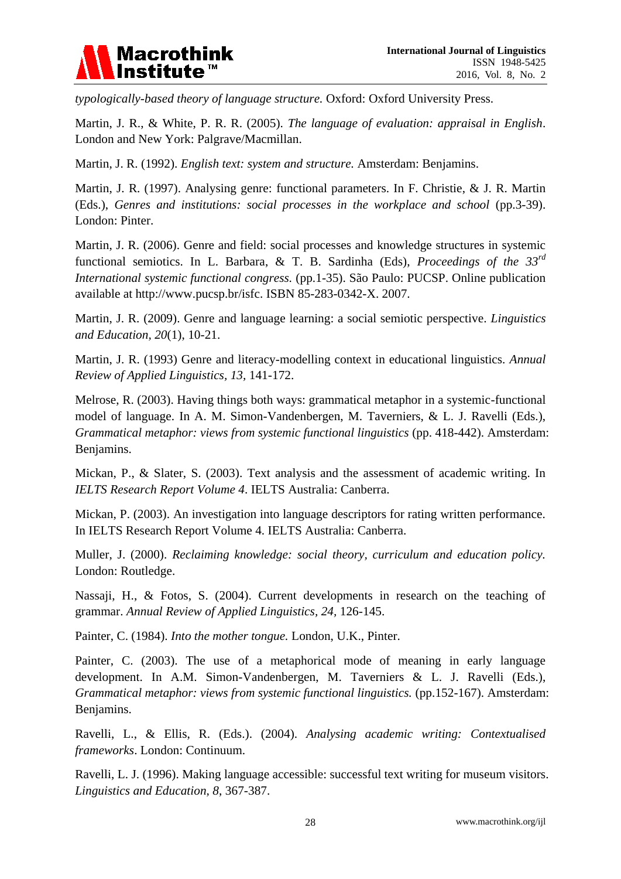

*typologically-based theory of language structure.* Oxford: Oxford University Press.

Martin, J. R., & White, P. R. R. (2005). *The language of evaluation: appraisal in English*. London and New York: Palgrave/Macmillan.

Martin, J. R. (1992). *English text: system and structure.* Amsterdam: Benjamins.

Martin, J. R. (1997). Analysing genre: functional parameters. In F. Christie, & J. R. Martin (Eds.), *Genres and institutions: social processes in the workplace and school* (pp.3-39). London: Pinter.

Martin, J. R. (2006). Genre and field: social processes and knowledge structures in systemic functional semiotics. In L. Barbara, & T. B. Sardinha (Eds), *Proceedings of the 33rd International systemic functional congress.* (pp.1-35). S  $\tilde{\mathbf{a}}$  Paulo: PUCSP. Online publication available at http://www.pucsp.br/isfc. ISBN 85-283-0342-X. 2007.

Martin, J. R. (2009). Genre and language learning: a social semiotic perspective. *Linguistics and Education, 20*(1), 10-21.

Martin, J. R. (1993) Genre and literacy-modelling context in educational linguistics. *Annual Review of Applied Linguistics, 13,* 141-172.

Melrose, R. (2003). Having things both ways: grammatical metaphor in a systemic-functional model of language. In A. M. Simon-Vandenbergen, M. Taverniers, & L. J. Ravelli (Eds.), *Grammatical metaphor: views from systemic functional linguistics* (pp. 418-442). Amsterdam: Benjamins.

Mickan, P., & Slater, S. (2003). Text analysis and the assessment of academic writing. In *IELTS Research Report Volume 4*. IELTS Australia: Canberra.

Mickan, P. (2003). An investigation into language descriptors for rating written performance. In IELTS Research Report Volume 4. IELTS Australia: Canberra.

Muller, J. (2000). *Reclaiming knowledge: social theory, curriculum and education policy.*  London: Routledge.

Nassaji, H., & Fotos, S. (2004). Current developments in research on the teaching of grammar. *Annual Review of Applied Linguistics, 24,* 126-145.

Painter, C. (1984). *Into the mother tongue.* London, U.K., Pinter.

Painter, C. (2003). The use of a metaphorical mode of meaning in early language development. In A.M. Simon-Vandenbergen, M. Taverniers & L. J. Ravelli (Eds.), *Grammatical metaphor: views from systemic functional linguistics.* (pp.152-167). Amsterdam: Benjamins.

Ravelli, L., & Ellis, R. (Eds.). (2004). *Analysing academic writing: Contextualised frameworks*. London: Continuum.

Ravelli, L. J. (1996). Making language accessible: successful text writing for museum visitors. *Linguistics and Education, 8*, 367-387.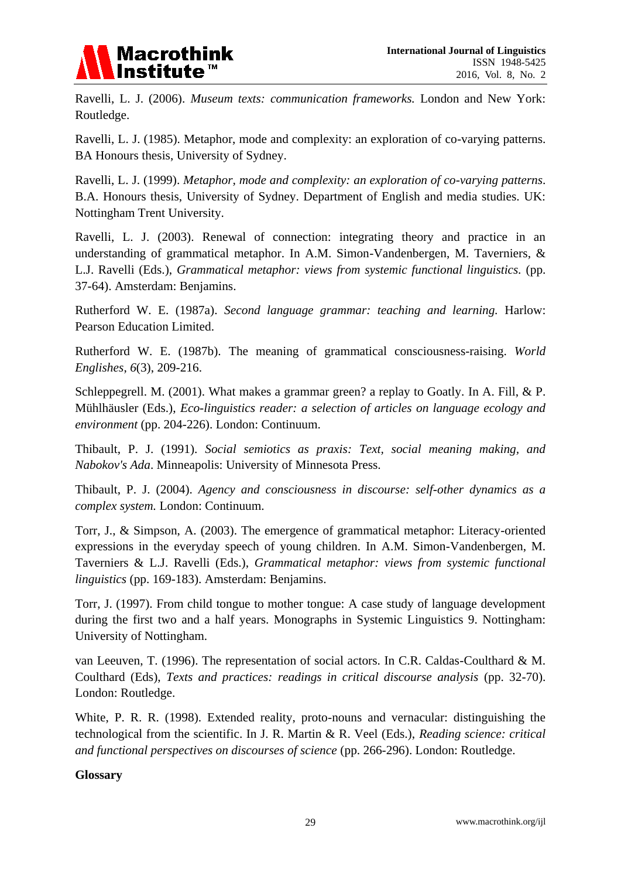

Ravelli, L. J. (2006). *Museum texts: communication frameworks.* London and New York: Routledge.

Ravelli, L. J. (1985). Metaphor, mode and complexity: an exploration of co-varying patterns. BA Honours thesis, University of Sydney.

Ravelli, L. J. (1999). *Metaphor, mode and complexity: an exploration of co-varying patterns*. B.A. Honours thesis, University of Sydney. Department of English and media studies. UK: Nottingham Trent University.

Ravelli, L. J. (2003). Renewal of connection: integrating theory and practice in an understanding of grammatical metaphor. In A.M. Simon-Vandenbergen, M. Taverniers, & L.J. Ravelli (Eds.), *Grammatical metaphor: views from systemic functional linguistics.* (pp. 37-64). Amsterdam: Benjamins.

Rutherford W. E. (1987a). *Second language grammar: teaching and learning.* Harlow: Pearson Education Limited.

Rutherford W. E. (1987b). The meaning of grammatical consciousness-raising. *World Englishes*, *6*(3), 209-216.

Schleppegrell. M. (2001). What makes a grammar green? a replay to Goatly. In A. Fill, & P. Mühlhäusler (Eds.), *Eco-linguistics reader: a selection of articles on language ecology and environment* (pp. 204-226). London: Continuum.

Thibault, P. J. (1991). *Social semiotics as praxis: Text, social meaning making, and Nabokov's Ada*. Minneapolis: University of Minnesota Press.

Thibault, P. J. (2004). *Agency and consciousness in discourse: self-other dynamics as a complex system.* London: Continuum.

Torr, J., & Simpson, A. (2003). The emergence of grammatical metaphor: Literacy-oriented expressions in the everyday speech of young children. In A.M. Simon-Vandenbergen, M. Taverniers & L.J. Ravelli (Eds.), *Grammatical metaphor: views from systemic functional linguistics* (pp. 169-183). Amsterdam: Benjamins.

Torr, J. (1997). From child tongue to mother tongue: A case study of language development during the first two and a half years. Monographs in Systemic Linguistics 9. Nottingham: University of Nottingham.

van Leeuven, T. (1996). The representation of social actors. In C.R. Caldas-Coulthard & M. Coulthard (Eds), *Texts and practices: readings in critical discourse analysis* (pp. 32-70). London: Routledge.

White, P. R. R. (1998). Extended reality, proto-nouns and vernacular: distinguishing the technological from the scientific. In J. R. Martin & R. Veel (Eds.), *Reading science: critical and functional perspectives on discourses of science* (pp. 266-296). London: Routledge.

## **Glossary**